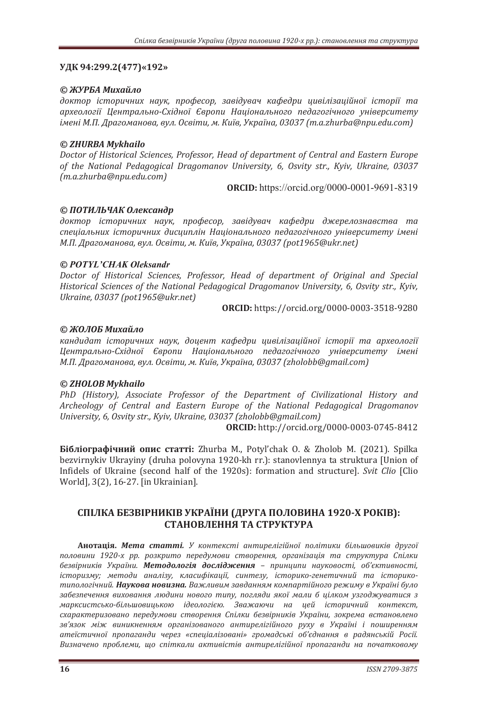# УДК 94:299.2(477)«192»

# © *ЖУРБА Михайло*

доктор *історичних наук, професор, завідувач кафедри цивілізаційної історії та*  $apxeo<sub>ao</sub>zi<sup>z</sup>$  *Центрально-Східної Європи Національного педагогічного університету* iменi М.П. Драгоманова, вул. Освiти, м. Київ, Україна, 03037 (т.а.zhurba@npu.edu.com)

# *© ZHURBA Mykhailo*

Doctor of Historical Sciences, Professor, Head of department of Central and Eastern Europe *of the National Pedagogical Dragomanov University, 6, Osvity str., Kviv, Ukraine, 03037*  $(m.a.zhurba@npu.edu.com)$ 

**ORCID:** https://orcid.org/0000-0001-9691-8319

# © ПОТИЛЬЧАК Олександр

доктор *історичних наук, професор, завідувач кафедри джерелознавства та* спеціальних *історичних дисциплін Національного педагогічного університету імені М.П. Драгоманова, вул. Освіти, м. Київ, Україна, 03037 (pot1965@ukr.net)* 

# *© POTYL'CHAK Oleksandr*

Doctor of Historical Sciences, Professor, Head of department of Original and Special *Historical Sciences of the National Pedagogical Dragomanov University, 6, Osvity str., Kyiv, Ukraine, 03037 (pot1965@ukr.net)* 

**ORCIDǣ** https://orcid.org/0000-0003-3518-9280

# © ЖОЛОБ Михайло

кандидат *історичних наук, доцент кафедри цивілізаційної історії та археології* Центрально-Східної Європи Національного педагогічного університету імені *М.П. Драгоманова, вул. Освіти, м. Київ, Україна, 03037 (zholobb@gmail.com)* 

### *© ZHOLOB Mykhailo*

*PhD (History). Associate Professor of the Department of Civilizational History and* Archeology of Central and Eastern Europe of the National Pedagogical Dragomanov *<i>Ūniversity, 6, Osvity str., Kyiv, Ukraine, 03037 (zholobb@gmail.com)* 

**ORCID:** http://orcid.org/0000-0003-0745-8412

**Бібліографічний опис статті:** Zhurba M., Potyl'chak O. & Zholob M. (2021). Spilka bezvirnykiv Ukrayiny (druha polovyna 1920-kh rr.): stanovlennya ta struktura [Union of Infidels of Ukraine (second half of the 1920s): formation and structure]. *Svit Clio* [Clio] World], 3(2), 16-27. [in Ukrainian].

# **ʠʞʶʚʙʏʐʔʖʑʶʟʜʗʙʶʑʢʙʟʏʷʜʗȋʓʟʢʒʏʞʝʚʝʑʗʜʏ ͳͻʹͲ-ʤʟʝʙʶʑȌǣ** СТАНОВЛЕННЯ ТА СТРУКТУРА

**Анотація. Мета статті.** У контексті антирелігійної політики більшовиків другої половини 1920-х рр. розкрито передумови створення, організація та структура Спілки безвірників України. Методологія дослідження - принципи науковості, об'єктивності,  $i$ сторизму; методи аналізу, класифікації, синтезу, історико-генетичний та історикотипологічний. Наукова новизна. Важливим завданням компартійного режиму в Україні було забезпечення виховання людини нового типу, погляди якої мали б цілком узгоджуватися з марксистсько-більшовицькою *ідеологією. Зважаючи на цей історичний контекст*, схарактеризовано передумови створення Спілки безвірників України, зокрема встановлено зв'язок між виникненням організованого антирелігійного руху в Україні і поширенням атеїстичної пропаганди через «спеціалізовані» громадські об'єднання в радянській Росії. Визначено проблеми, що спіткали активістів антирелігійної пропаганди на початковому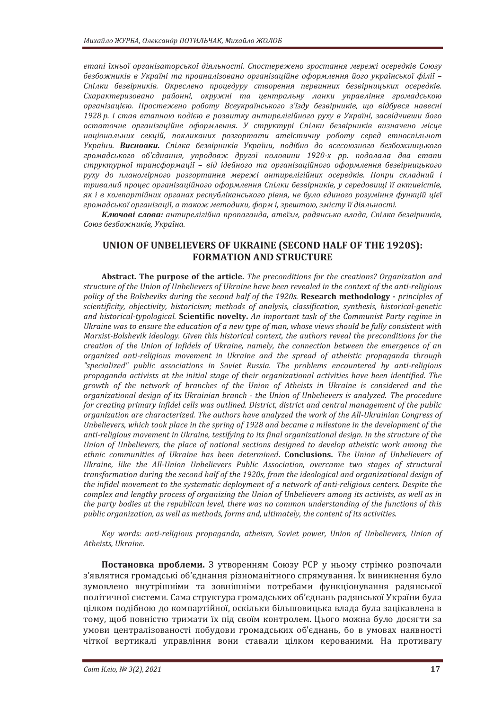етапі їхньої організаторської діяльності. Спостережено зростання мережі осередків Союзу безбожників в Україні та проаналізовано організаційне оформлення його української філії -Спілки безвірників. Окреслено процедуру створення первинних безвірницьких осередків. Схарактеризовано районні, окружні та центральну ланки управління громадською організацією. Простежено роботу Всеукраїнського з'їзду безвірників, що відбувся навесні 1928 р. і став етапною подією в розвитку антирелігійного руху в Україні, засвідчивши його остаточне організаційне оформлення. У структурі Спілки безвірників визначено місце національних секцій, покликаних розгортати атеїстичну роботу серед етноспільнот України. Висновки. Спілка безвірників України, подібно до всесоюзного безбожницького <sup>громадського об'єднання, упродовж другої половини 1920-х рр. подолала два етапи</sup> структурної трансформації – від ідейного та організаційного оформлення безвірницького руху до планомірного розгортання мережі антирелігійних осередків. Попри складний і тривалий процес організаційного оформлення Спілки безвірників, у середовищі її активістів, як і в компартійних органах республіканського рівня, не було єдиного розуміння функцій цієї громадської організації, а також методики, форм і, зрештою, змісту її діяльності.

Kлючові слова: антирелігійна пропаганда, атеїзм, радянська влада, Спілка безвірників, Союз безбожників, Україна.

# **UNION OF UNBELIEVERS OF UKRAINE (SECOND HALF OF THE 1920S): FORMATION AND STRUCTURE**

**Abstract. The purpose of the article.** The preconditions for the creations? Organization and structure of the Union of Unbelievers of Ukraine have been revealed in the context of the anti-religious *policy of the Bolsheviks during the second half of the 1920s. Research methodology - principles of* scientificity, objectivity, historicism; methods of analysis, classification, synthesis, historical-genetic and historical-typological. Scientific novelty. An important task of the Communist Party regime in Ukraine was to ensure the education of a new type of man, whose views should be fully consistent with *Marxist-Bolshevik ideology. Given this historical context, the authors reveal the preconditions for the* creation of the Union of Infidels of Ukraine, namely, the connection between the emergence of an *organized anti-religious movement in Ukraine and the spread of atheistic propaganda through* "specialized" public associations in Soviet Russia. The problems encountered by anti-religious *i ropaganda activists at the initial stage of their organizational activities have been identified. The arowth of the network of branches of the Union of Atheists in Ukraine is considered and the <u>organizational design of its Ukrainian branch - the Union of Unbelievers is analyzed. The procedure*</u> *for creating primary infidel cells was outlined. District, district and central management of the public organization are characterized. The authors have analyzed the work of the All-Ukrainian Congress of* Unbelievers, which took place in the spring of 1928 and became a milestone in the development of the anti-religious movement in Ukraine, testifying to its final organizational design. In the structure of the Union of Unbelievers, the place of national sections designed to develop atheistic work among the ethnic communities of Ukraine has been determined. Conclusions. The Union of Unbelievers of Ukraine, like the All-Union Unbelievers Public Association, overcame two stages of structural transformation during the second half of the 1920s, from the ideological and organizational design of *ihe infidel movement to the systematic deployment of a network of anti-religious centers. Despite the* complex and lengthy process of organizing the Union of Unbelievers among its activists, as well as in *the party bodies at the republican level, there was no common understanding of the functions of this public organization, as well as methods, forms and, ultimately, the content of its activities.* 

*Key words: anti-religious propaganda, atheism, Soviet power, Union of Unbelievers, Union of <u>Atheists</u>*. *Ukraine*.

Постановка проблеми. 3 утворенням Союзу РСР у ньому стрімко розпочали з'являтися громадські об'єднання різноманітного спрямування. Їх виникнення було зумовлено внутрішніми та зовнішніми потребами функціонування радянської політичної системи. Сама структура громадських об'єднань радянської України була цілком подібною до компартійної, оскільки більшовицька влада була зацікавлена в тому, щоб повністю тримати їх під своїм контролем. Цього можна було досягти за умови централізованості побудови громадських об'єднань, бо в умовах наявності чіткої вертикалі управління вони ставали цілком керованими. На противагу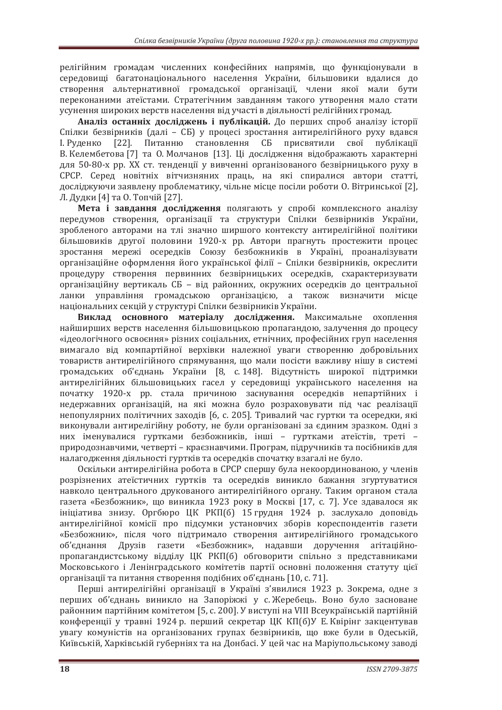релігійним громадам численних конфесійних напрямів, що функціонували в середовищі багатонаціонального населення України, більшовики вдалися до створення альтернативної громадської організації, члени якої мали бути переконаними атеїстами. Стратегічним завданням такого утворення мало стати усунення широких верств населення від участі в діяльності релігійних громад.

Аналіз останніх досліджень і публікацій. До перших спроб аналізу історії Спілки безвірників (далі – СБ) у процесі зростання антирелігійного руху вдався I. Руденко [22]. Питанню становлення СБ присвятили свої публікації В. Келембетова [7] та О. Молчанов [13]. Ці дослідження відображають характерні для 50-80-х рр. XX ст. тенденції у вивченні організованого безвірницького руху в СРСР. Серед новітніх вітчизняних праць, на які спиралися автори статті, досліджуючи заявлену проблематику, чільне місце посіли роботи О. Вітринської [2]. Л. Дудки [4] та О. Топчій [27].

**Мета і завдання дослідження** полягають у спробі комплексного аналізу передумов створення, організації та структури Спілки безвірників України, зробленого авторами на тлі значно ширшого контексту антирелігійної політики більшовиків другої половини 1920-х рр. Автори прагнуть простежити процес зростання мережі осередків Союзу безбожників в Україні, проаналізувати організаційне оформлення його української філії - Спілки безвірників, окреслити процедуру створення первинних безвірницьких осередків, схарактеризувати організаційну вертикаль СБ - від районних, окружних осередків до центральної ланки управління громадською організацією, а також визначити місце національних секцій у структурі Спілки безвірників України.

Виклад основного матеріалу дослідження. Максимальне охоплення найширших верств населення більшовицькою пропагандою, залучення до процесу «ідеологічного освоєння» різних соціальних, етнічних, професійних груп населення вимагало від компартійної верхівки належної уваги створенню добровільних товариств антирелігійного спрямування, що мали посісти важливу нішу в системі громадських об'єднань України [8, с. 148]. Відсутність широкої підтримки антирелігійних більшовицьких гасел у середовищі українського населення на початку 1920-х рр. стала причиною заснування осередків непартійних і недержавних організацій, на які можна було розраховувати під час реалізації непопулярних політичних заходів [6, с. 205]. Тривалий час гуртки та осередки, які виконували антирелігійну роботу, не були організовані за єдиним зразком. Одні з них іменувалися гуртками безбожників, інші - гуртками атеїстів, треті природознавчими, четверті – краєзнавчими. Програм, підручників та посібників для налагодження діяльності гуртків та осередків спочатку взагалі не було.

Оскільки антирелігійна робота в СРСР спершу була некоординованою, у членів розрізнених атеїстичних гуртків та осередків виникло бажання згуртуватися навколо центрального друкованого антирелігійного органу. Таким органом стала газета «Безбожник», що виникла 1923 року в Москві [17, с. 7]. Усе здавалося як ініціатива знизу. Оргбюро ЦК РКП(б) 15 грудня 1924 р. заслухало доповідь антирелігійної комісії про підсумки установчих зборів кореспондентів газети «Безбожник», після чого підтримало створення антирелігійного громадського об'єднання Друзів газети «Безбожник», надавши доручення агітаційнопропагандистському відділу ЦК РКП(б) обговорити спільно з представниками Московського і Ленінградського комітетів партії основні положення статуту цієї організації та питання створення подібних об'єднань [10, с. 71].

Перші антирелігійні організації в Україні з'явилися 1923 р. Зокрема, одне з перших об'єднань виникло на Запоріжжі у с. Жеребець. Воно було засноване районним партійним комітетом [5, с. 200]. У виступі на VIII Всеукраїнській партійній конференції у травні 1924 р. перший секретар ЦК КП(б)У Е. Квірінг закцентував увагу комуністів на організованих групах безвірників, що вже були в Одеській, Київській, Харківській губерніях та на Донбасі. У цей час на Маріупольському заводі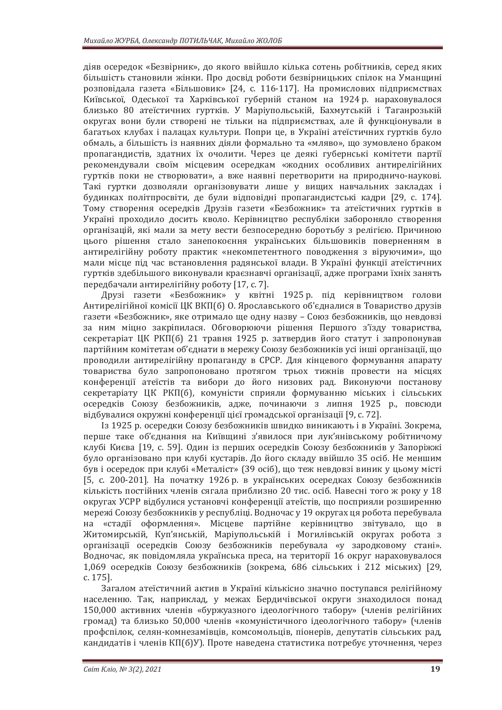діяв осередок «Безвірник», до якого ввійшло кілька сотень робітників, серед яких більшість становили жінки. Про досвід роботи безвірницьких спілок на Уманщині розповідала газета «Більшовик» [24, с. 116-117]. На промислових підприємствах Київської, Одеської та Харківської губерній станом на 1924 р. нараховувалося близько 80 атеїстичних гуртків. У Маріупольській, Бахмутській і Таганрозькій округах вони були створені не тільки на підприємствах, але й функціонували в багатьох клубах і палацах культури. Попри це, в Україні атеїстичних гуртків було обмаль, а більшість із наявних діяли формально та «мляво», що зумовлено браком пропагандистів, здатних їх очолити. Через це деякі губернські комітети партії рекомендували своїм місцевим осередкам «жодних особливих антирелігійних гуртків поки не створювати», а вже наявні перетворити на природничо-наукові. Такі гуртки дозволяли організовувати лише у вищих навчальних закладах і будинках політпросвіти, де були відповідні пропагандистські кадри [29, с. 174]. Тому створення осередків Друзів газети «Безбожник» та атеїстичних гуртків в Україні проходило досить кволо. Керівництво республіки забороняло створення організацій, які мали за мету вести безпосередню боротьбу з релігією. Причиною цього рішення стало занепокоєння українських більшовиків поверненням в антирелігійну роботу практик «некомпетентного поводження з віруючими», що мали місце під час встановлення радянської влади. В Україні функції атеїстичних гуртків здебільшого виконували краєзнавчі організації, адже програми їхніх занять передбачали антирелігійну роботу [17, с. 7].

Друзі газети «Безбожник» у квітні 1925 р. під керівництвом голови Антирелігійної комісії ЦК ВКП(б) О. Ярославського об'єдналися в Товариство друзів газети «Безбожник», яке отримало ще одну назву - Союз безбожників, що невдовзі за ним міцно закріпилася. Обговорюючи рішення Першого з'їзду товариства, секретаріат ЦК РКП(б) 21 травня 1925 р. затвердив його статут і запропонував партійним комітетам об'єднати в мережу Союзу безбожників усі інші організації, що проводили антирелігійну пропаганду в СРСР. Для кінцевого формування апарату товариства було запропоновано протягом трьох тижнів провести на місцях конференції атеїстів та вибори до його низових рад. Виконуючи постанову секретаріату ЦК РКП(б), комуністи сприяли формуванню міських і сільських осередків Союзу безбожників, адже, починаючи з липня 1925 р., повсюди відбувалися окружні конференції цієї громадської організації [9, с. 72].

Із 1925 р. осередки Союзу безбожників швидко виникають і в Україні. Зокрема, перше таке об'єднання на Київщині з'явилося при лук'янівському робітничому клубі Києва [19, с. 59]. Один із перших осередків Союзу безбожників у Запоріжжі було організовано при клубі кустарів. До його складу ввійшло 35 осіб. Не меншим був і осередок при клубі «Металіст» (39 осіб), що теж невдовзі виник у цьому місті [5, с. 200-201]. На початку 1926 р. в українських осередках Союзу безбожників кількість постійних членів сягала приблизно 20 тис. осіб. Навесні того ж року у 18 округах УСРР відбулися установчі конференції атеїстів, що посприяли розширенню мережі Союзу безбожників у республіці. Водночас у 19 округах ця робота перебувала на «стадії оформлення». Місцеве партійне керівництво звітувало, що в Житомирській, Куп'янській, Маріупольській і Могилівській округах робота з організації осередків Союзу безбожників перебувала «у зародковому стані». Водночас, як повідомляла українська преса, на території 16 округ нараховувалося 1,069 осередків Союзу безбожників (зокрема, 686 сільських і 212 міських) [29, c. 175].

Загалом атеїстичний актив в Україні кількісно значно поступався релігійному населенню. Так, наприклад, у межах Бердичівської округи знаходилося понад 150,000 активних членів «буржуазного ідеологічного табору» (членів релігійних громад) та близько 50,000 членів «комуністичного ідеологічного табору» (членів профспілок, селян-комнезамівців, комсомольців, піонерів, депутатів сільських рад, кандидатів і членів КП(б)У). Проте наведена статистика потребує уточнення, через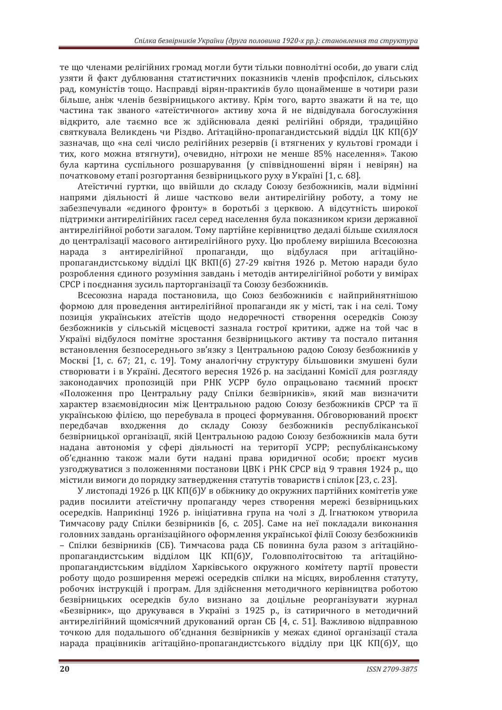те що членами релігійних громад могли бути тільки повнолітні особи, до уваги слід узяти й факт дублювання статистичних показників членів профспілок, сільських рал, комуністів тошо. Насправлі вірян-практиків було шонайменше в чотири рази більше, аніж членів безвірницького активу. Крім того, варто зважати й на те, що частина так званого «атеїстичного» активу хоча й не відвідувала богослужіння відкрито, але таємно все ж здійснювала деякі релігійні обряди, традиційно святкувала Великдень чи Різдво. Агітаційно-пропагандистський відділ ЦК КП(б)У зазначав, що «на селі число релігійних резервів (і втягнених у культові громади і тих, кого можна втягнути), очевилно, нітрохи не менше 85% населення». Такою була картина суспільного розшарування (у співвідношенні вірян і невірян) на початковому етапі розгортання безвірницького руху в Україні [1, с. 68].

Атеїстичні гуртки, що ввійшли до складу Союзу безбожників, мали відмінні напрями діяльності й лише частково вели антирелігійну роботу, а тому не забезпечували «єдиного фронту» в боротьбі з церквою. А відсутність широкої підтримки антирелігійних гасел серед населення була показником кризи державної антирелігійної роботи загалом. Тому партійне керівництво дедалі більше схилялося до централізації масового антирелігійного руху. Цю проблему вирішила Всесоюзна нарада з антирелігійної пропаганди, що відбулася при агітаційнопропагандистському відділі ЦК ВКП(б) 27-29 квітня 1926 р. Метою наради було розроблення єдиного розуміння завдань і методів антирелігійної роботи у вимірах СРСР і поєднання зусиль парторганізації та Союзу безбожників.

Всесоюзна нарада постановила, що Союз безбожників є найприйнятнішою формою для проведення антирелігійної пропаганди як у місті, так і на селі. Тому позиція українських атеїстів щодо недоречності створення осередків Союзу безбожників у сільській місцевості зазнала гострої критики, адже на той час в Україні відбулося помітне зростання безвірницького активу та постало питання встановлення безпосереднього зв'язку з Центральною радою Союзу безбожників у Москві [1, с. 67; 21, с. 19]. Тому аналогічну структуру більшовики змушені були створювати і в Україні. Десятого вересня 1926 р. на засіданні Комісії для розгляду законодавчих пропозицій при РНК УСРР було опрацьовано таємний проєкт «Положення про Центральну раду Спілки безвірників», який мав визначити характер взаємовідносин між Центральною радою Союзу безбожників СРСР та її українською філією, що перебувала в процесі формування. Обговорюваний проєкт передбачав входження до складу Союзу безбожників республіканської безвірницької організації, якій Центральною радою Союзу безбожників мала бути надана автономія у сфері діяльності на території УСРР; республіканському об'єднанню також мали бути надані права юридичної особи; проєкт мусив узгоджуватися з положеннями постанови ЦВК і РНК СРСР від 9 травня 1924 р., що містили вимоги до порядку затвердження статутів товариств і спілок [23, с. 23].

У листопаді 1926 р. ЦК КП(б)У в обіжнику до окружних партійних комітетів уже радив посилити атеїстичну пропаганду через створення мережі безвірницьких осередків. Наприкінці 1926 р. ініціативна група на чолі з Д. Ігнатюком утворила Тимчасову раду Спілки безвірників [6, с. 205]. Саме на неї покладали виконання головних завдань організаційного оформлення української філії Союзу безбожників – Спілки безвірників (СБ). Тимчасова рада СБ повинна була разом з агітаційнопропагандистським відділом ЦК КП(б)У, Головполітосвітою та агітаційнопропагандистським відділом Харківського окружного комітету партії провести роботу щодо розширення мережі осередків спілки на місцях, вироблення статуту, робочих інструкцій і програм. Для здійснення методичного керівництва роботою безвірницьких осередків було визнано за доцільне реорганізувати журнал «Безвірник», що друкувався в Україні з 1925 р., із сатиричного в методичний антирелігійний щомісячний друкований орган СБ [4, с. 51]. Важливою відправною точкою для подальшого об'єднання безвірників у межах єдиної організації стала нарада працівників агітаційно-пропагандистського відділу при ЦК КП(б)У, що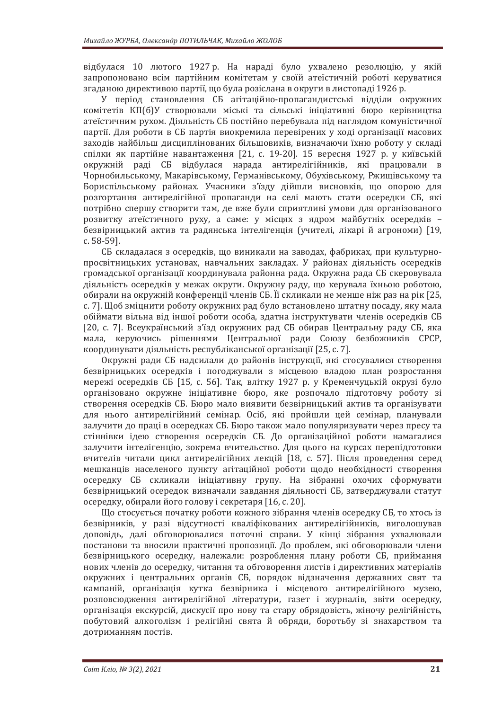відбулася 10 лютого 1927 р. На нараді було ухвалено резолюцію, у якій запропоновано всім партійним комітетам у своїй атеїстичній роботі керуватися згаданою директивою партії, що була розіслана в округи в листопаді 1926 р.

У період становлення СБ агітаційно-пропагандистські відділи окружних комітетів КП(б)У створювали міські та сільські ініціативні бюро керівництва атеїстичним рухом. Діяльність СБ постійно перебувала під наглядом комуністичної партії. Для роботи в СБ партія виокремила перевірених у ході організації масових заходів найбільш дисциплінованих більшовиків, визначаючи їхню роботу у складі спілки як партійне навантаження [21, с. 19-20]. 15 вересня 1927 р. у київській окружній раді СБ відбулася нарада антирелігійників, які працювали в Чорнобильському, Макарівському, Германівському, Обухівському, Ржищівському та Бориспільському районах. Учасники з'їзду дійшли висновків, що опорою для розгортання антирелігійної пропаганди на селі мають стати осередки СБ, які потрібно спершу створити там, де вже були сприятливі умови для організованого розвитку атеїстичного руху, а саме: у місцях з ядром майбутніх осередків безвірницький актив та радянська інтелігенція (учителі, лікарі й агрономи) [19, c. 58-59].

СБ складалася з осередків, що виникали на заводах, фабриках, при культурнопросвітницьких установах, навчальних закладах. У районах діяльність осередків громадської організації координувала районна рада. Окружна рада СБ скеровувала діяльність осередків у межах округи. Окружну раду, що керувала їхньою роботою, обирали на окружній конференції членів СБ. Її скликали не менше ніж раз на рік [25, с. 7]. Щоб зміцнити роботу окружних рад було встановлено штатну посаду, яку мала обіймати вільна від іншої роботи особа, здатна інструктувати членів осередків СБ [20, с. 7]. Всеукраїнський з'їзд окружних рад СБ обирав Центральну раду СБ, яка мала, керуючись рішеннями Центральної ради Союзу безбожників СРСР. координувати діяльність республіканської організації [25, с. 7].

Окружні ради СБ надсилали до районів інструкції, які стосувалися створення безвірницьких осередків і погоджували з місцевою владою план розростання мережі осередків СБ [15, с. 56]. Так, влітку 1927 р. у Кременчуцькій окрузі було організовано окружне ініціативне бюро, яке розпочало підготовчу роботу зі створення осередків СБ. Бюро мало виявити безвірницький актив та організувати для нього антирелігійний семінар. Осіб, які пройшли цей семінар, планували залучити до праці в осередках СБ. Бюро також мало популяризувати через пресу та стіннівки ідею створення осередків СБ. До організаційної роботи намагалися залучити інтелігенцію, зокрема вчительство. Для цього на курсах перепідготовки вчителів читали цикл антирелігійних лекцій [18, с. 57]. Після проведення серед мешканців населеного пункту агітаційної роботи щодо необхідності створення осередку СБ скликали ініціативну групу. На зібранні охочих сформувати безвірницький осередок визначали завдання діяльності СБ, затверджували статут осередку, обирали його голову і секретаря [16, с. 20].

Шо стосується початку роботи кожного зібрання членів осередку СБ, то хтось із безвірників, у разі відсутності кваліфікованих антирелігійників, виголошував доповідь, далі обговорювалися поточні справи. У кінці зібрання ухвалювали постанови та вносили практичні пропозиції. До проблем, які обговорювали члени безвірницького осередку, належали: розроблення плану роботи СБ, приймання нових членів до осередку, читання та обговорення листів і директивних матеріалів окружних і центральних органів СБ, порядок відзначення державних свят та кампаній, організація кутка безвірника і місцевого антирелігійного музею, розповсюдження антирелігійної літератури, газет і журналів, звіти осередку, організація екскурсій, дискусії про нову та стару обрядовість, жіночу релігійність, побутовий алкоголізм і релігійні свята й обряди, боротьбу зі знахарством та дотриманням постів.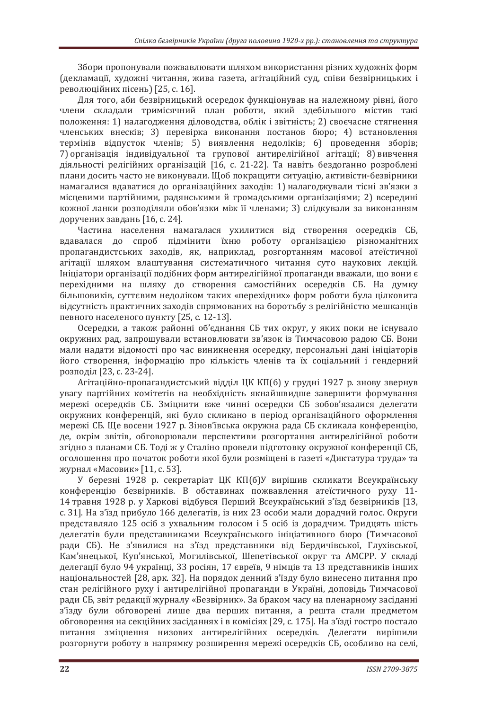Збори пропонували пожвавлювати шляхом використання різних художніх форм (декламації, художні читання, жива газета, агітаційний суд, співи безвірницьких і революційних пісень) [25, с. 16].

Для того, аби безвірницький осередок функціонував на належному рівні, його члени складали тримісячний план роботи, який здебільшого містив такі положення: 1) налагодження діловодства, облік і звітність; 2) своєчасне стягнення членських внесків; 3) перевірка виконання постанов бюро; 4) встановлення термінів відпусток членів; 5) виявлення недоліків; 6) проведення зборів; 7) організація індивідуальної та групової антирелігійної агітації; 8) вивчення діяльності релігійних організацій [16, с. 21-22]. Та навіть бездоганно розроблені плани досить часто не виконували. Щоб покращити ситуацію, активісти-безвірники намагалися вдаватися до організаційних заходів: 1) налагоджували тісні зв'язки з місцевими партійними, радянськими й громадськими організаціями; 2) всередині кожної ланки розподіляли обов'язки між її членами; 3) слідкували за виконанням доручених завдань [16, с. 24].

Частина населення намагалася ухилитися від створення осередків СБ. вдавалася до спроб підмінити їхню роботу організацією різноманітних пропагандистських заходів, як, наприклад, розгортанням масової атеїстичної агітації шляхом влаштування систематичного читання суто наукових лекцій. Ініціатори організації подібних форм антирелігійної пропаганди вважали, що вони є перехідними на шляху до створення самостійних осередків СБ. На думку більшовиків, суттєвим недоліком таких «перехідних» форм роботи була цілковита відсутність практичних заходів спрямованих на боротьбу з релігійністю мешканців певного населеного пункту [25, с. 12-13].

Осередки, а також районні об'єднання СБ тих округ, у яких поки не існувало окружних рад, запрошували встановлювати зв'язок із Тимчасовою радою СБ. Вони мали надати відомості про час виникнення осередку, персональні дані ініціаторів його створення, інформацію про кількість членів та їх соціальний і гендерний розподіл [23, с. 23-24].

Агітаційно-пропагандистський відділ ЦК КП(б) у грудні 1927 р. знову звернув увагу партійних комітетів на необхілність якнайшвилше завершити формування мережі осередків СБ. Зміцнити вже чинні осередки СБ зобов'язалися делегати окружних конференцій, які було скликано в період організаційного оформлення мережі СБ. Ще восени 1927 р. Зінов'ївська окружна рада СБ скликала конференцію, де, окрім звітів, обговорювали перспективи розгортання антирелігійної роботи згідно з планами СБ. Тоді ж у Сталіно провели підготовку окружної конференції СБ, оголошення про початок роботи якої були розміщені в газеті «Диктатура труда» та журнал «Масовик» [11, с. 53].

У березні 1928 р. секретаріат ЦК КП(б)У вирішив скликати Всеукраїнську конференцію безвірників. В обставинах пожвавлення атеїстичного руху 11-14 травня 1928 р. у Харкові відбувся Перший Всеукраїнський з'їзд безвірників [13, с. 31]. На з'їзд прибуло 166 делегатів, із них 23 особи мали дорадчий голос. Округи представляло 125 осіб з ухвальним голосом і 5 осіб із дорадчим. Тридцять шість делегатів були представниками Всеукраїнського ініціативного бюро (Тимчасової ради СБ). Не з'явилися на з'їзд представники від Бердичівської, Глухівської, Кам'янецької, Куп'янської, Могилівської, Шепетівської округ та АМСРР. У складі делегації було 94 українці, 33 росіян, 17 євреїв, 9 німців та 13 представників інших національностей [28, арк. 32]. На порядок денний з'їзду було винесено питання про стан релігійного руху і антирелігійної пропаганди в Україні, доповідь Тимчасової ради СБ, звіт редакції журналу «Безвірник». За браком часу на пленарному засіданні з'їзду були обговорені лише два перших питання, а решта стали предметом обговорення на секційних засіданнях і в комісіях [29, с. 175]. На з'їзді гостро постало питання зміцнення низових антирелігійних осередків. Делегати вирішили розгорнути роботу в напрямку розширення мережі осередків СБ, особливо на селі,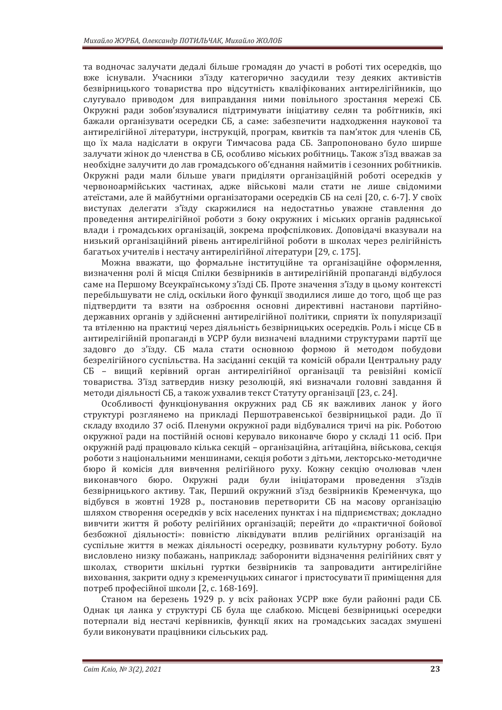та водночас залучати дедалі більше громадян до участі в роботі тих осередків, що вже існували. Учасники з'їзду категорично засудили тезу деяких активістів безвірницького товариства про відсутність кваліфікованих антирелігійників, що слугувало приводом для виправдання ними повільного зростання мережі СБ. Окружні ради зобов'язувалися підтримувати ініціативу селян та робітників, які бажали організувати осередки СБ, а саме: забезпечити надходження наукової та антирелігійної літератури, інструкцій, програм, квитків та пам'яток для членів СБ, що їх мала надіслати в округи Тимчасова рада СБ. Запропоновано було ширше залучати жінок до членства в СБ, особливо міських робітниць. Також з'їзд вважав за необхідне залучити до лав громадського об'єднання наймитів і сезонних робітників. Окружні ради мали більше уваги приділяти організаційній роботі осередків у червоноармійських частинах, адже військові мали стати не лише свідомими атеїстами, але й майбутніми організаторами осередків СБ на селі [20, с. 6-7]. У своїх виступах делегати з'їзду скаржилися на недостатньо уважне ставлення до проведення антирелігійної роботи з боку окружних і міських органів радянської влади і громадських організацій, зокрема профспілкових. Доповідачі вказували на низький організаційний рівень антирелігійної роботи в школах через релігійність багатьох учителів і нестачу антирелігійної літератури [29, с. 175].

Можна вважати, що формальне інституційне та організаційне оформлення. визначення ролі й місця Спілки безвірників в антирелігійній пропаганді відбулося саме на Першому Всеукраїнському з'їзді СБ. Проте значення з'їзду в цьому контексті перебільшувати не слід, оскільки його функції зводилися лише до того, щоб ще раз підтвердити та взяти на озброєння основні директивні настанови партійнодержавних органів у здійсненні антирелігійної політики, сприяти їх популяризації та втіленню на практиці через діяльність безвірницьких осередків. Роль і місце СБ в антирелігійній пропаганді в УСРР були визначені владними структурами партії ще задовго до з'їзду. СБ мала стати основною формою й методом побудови безрелігійного суспільства. На засіданні секцій та комісій обрали Центральну раду СБ – вищий керівний орган антирелігійної організації та ревізійні комісії товариства. З'їзд затвердив низку резолюцій, які визначали головні завдання й метоли ліяльності СБ, а також ухвалив текст Статуту організації [23, с. 24].

Особливості функціонування окружних рад СБ як важливих ланок у його структурі розглянемо на прикладі Першотравенської безвірницької ради. До її складу входило 37 осіб. Пленуми окружної ради відбувалися тричі на рік. Роботою окружної ради на постійній основі керувало виконавче бюро у складі 11 осіб. При окружній раді працювало кілька секцій – організаційна, агітаційна, військова, секція роботи з національними меншинами, секція роботи з дітьми, лекторсько-методичне бюро й комісія для вивчення релігійного руху. Кожну секцію очолював член виконавчого бюро. Окружні ради були ініціаторами проведення з'їздів безвірницького активу. Так, Перший окружний з'їзд безвірників Кременчука, що відбувся в жовтні 1928 р., постановив перетворити СБ на масову організацію шляхом створення осерелків у всіх населених пунктах і на пілприємствах: локлално вивчити життя й роботу релігійних організацій; перейти до «практичної бойової безбожної діяльності»: повністю ліквідувати вплив релігійних організацій на суспільне життя в межах діяльності осередку, розвивати культурну роботу. Було висловлено низку побажань, наприклад: заборонити відзначення релігійних свят у школах, створити шкільні гуртки безвірників та запровадити антирелігійне виховання, закрити одну з кременчуцьких синагог і пристосувати її приміщення для потреб професійної школи [2, с. 168-169].

Станом на березень 1929 р. у всіх районах УСРР вже були районні ради СБ. Однак ця ланка у структурі СБ була ще слабкою. Місцеві безвірницькі осередки потерпали від нестачі керівників, функції яких на громадських засадах змушені були виконувати працівники сільських рад.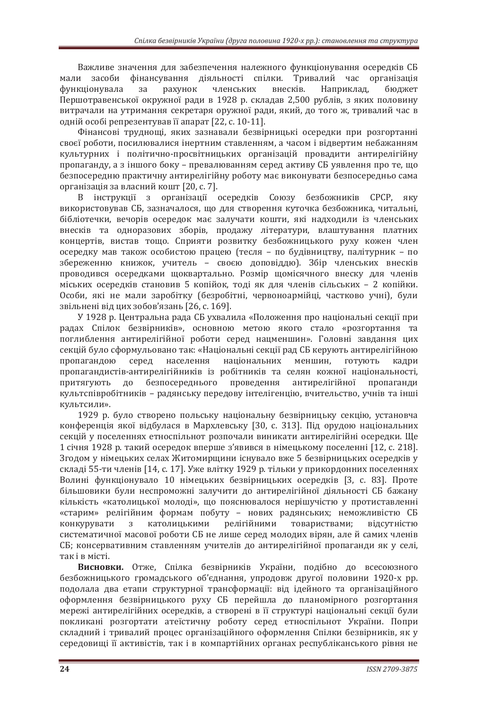Важливе значення для забезпечення належного функціонування осередків СБ мали засоби фінансування діяльності спілки. Тривалий час організація функціонувала за рахунок членських внесків. Наприклад, бюлжет Першотравенської окружної ради в 1928 р. складав 2,500 рублів, з яких половину витрачали на утримання секретаря оружної ради, який, до того ж, тривалий час в одній особі репрезентував її апарат [22, с. 10-11].

Фінансові труднощі, яких зазнавали безвірницькі осередки при розгортанні своєї роботи, посилювалися інертним ставленням, а часом і відвертим небажанням культурних і політично-просвітницьких організацій провалити антирелігійну пропаганду, а з іншого боку – превалюванням серед активу СБ уявлення про те, що безпосередню практичну антирелігійну роботу має виконувати безпосередньо сама організація за власний кошт [20, с. 7].

В інструкції з організації осередків Союзу безбожників СРСР, яку використовував СБ, зазначалося, що для створення куточка безбожника, читальні, бібліотечки, вечорів осередок має залучати кошти, які надходили із членських внесків та одноразових зборів, продажу літератури, влаштування платних концертів, вистав тощо. Сприяти розвитку безбожницького руху кожен член осередку мав також особистою працею (тесля - по будівництву, палітурник - по збереженню книжок, учитель - своєю доповіддю). Збір членських внесків проводився осередками щоквартально. Розмір щомісячного внеску для членів міських осередків становив 5 копійок, тоді як для членів сільських - 2 копійки. Особи, які не мали заробітку (безробітні, червоноармійці, частково учні), були звільнені від цих зобов'язань [26, с. 169].

У 1928 р. Центральна рада СБ ухвалила «Положення про національні секції при радах Спілок безвірників», основною метою якого стало «розгортання та поглиблення антирелігійної роботи серед нацменшин». Головні завдання цих секцій було сформульовано так: «Національні секції рад СБ керують антирелігійною пропагандою серед населення національних меншин, готують кадри пропагандистів-антирелігійників із робітників та селян кожної національності, притягують до безпосереднього проведення антирелігійної пропаганди культспівробітників - радянську передову інтелігенцію, вчительство, учнів та інші КVЛЬТСИЛИ».

1929 р. було створено польську національну безвірницьку секцію, установча конференція якої відбулася в Мархлевську [30, с. 313]. Під орудою національних секцій у поселеннях етноспільнот розпочали виникати антирелігійні осередки. Ще 1 січня 1928 р. такий осередок вперше з'явився в німецькому поселенні [12, с. 218]. Згодом у німецьких селах Житомирщини існувало вже 5 безвірницьких осередків у складі 55-ти членів [14, с. 17]. Уже влітку 1929 р. тільки у прикордонних поселеннях Волині функціонувало 10 німецьких безвірницьких осередків [3, с. 83]. Проте більшовики були неспроможні залучити до антирелігійної діяльності СБ бажану кількість «католицької молоді», що пояснювалося нерішучістю у протиставленні «старим» релігійним формам побуту – нових радянських; неможливістю СБ конкурувати з католицькими релігійними товариствами; відсутністю систематичної масової роботи СБ не лише серед молодих вірян, але й самих членів СБ; консервативним ставленням учителів до антирелігійної пропаганди як у селі, так і в місті.

Висновки. Отже, Спілка безвірників України, подібно до всесоюзного безбожницького громадського об'єднання, упродовж другої половини 1920-х рр. подолала два етапи структурної трансформації: від ідейного та організаційного оформлення безвірницького руху СБ перейшла до планомірного розгортання мережі антирелігійних осередків, а створені в її структурі національні секції були покликані розгортати атеїстичну роботу серед етноспільнот України. Попри складний і тривалий процес організаційного оформлення Спілки безвірників, як у середовищі її активістів, так і в компартійних органах республіканського рівня не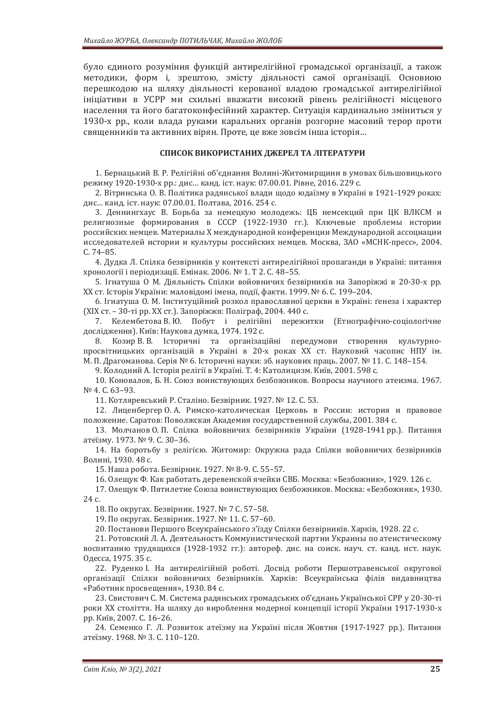було єдиного розуміння функцій антирелігійної громадської організації, а також методики, форм і, зрештою, змісту діяльності самої організації. Основною перешкодою на шляху діяльності керованої владою громадської антирелігійної ініціативи в УСРР ми схильні вважати високий рівень релігійності місцевого населення та його багатоконфесійний характер. Ситуація кардинально зміниться у 1930-х рр., коли влада руками каральних органів розгорне масовий терор проти священників та активних вірян. Проте, це вже зовсім інша історія...

#### СПИСОК ВИКОРИСТАНИХ ДЖЕРЕЛ ТА ЛІТЕРАТУРИ

1. Бернацький В. Р. Релігійні об'єднання Волині-Житомирщини в умовах більшовицького режиму 1920-1930-х рр.: дис... канд. іст. наук: 07.00.01. Рівне, 2016. 229 с.

2. Вітринська О. В. Політика радянської влади щодо юдаїзму в Україні в 1921-1929 роках: дис... канд. іст. наук: 07.00.01. Полтава, 2016. 254 с.

3. Деннингхаус В. Борьба за немецкую молодежь: ЦБ немсекций при ЦК ВЛКСМ и религиозные формирования в СССР (1922-1930 гг.). Ключевые проблемы истории российских немцев. Материалы X международной конференции Международной ассоциации исследователей истории и культуры российских немцев. Москва, ЗАО «МСНК-пресс», 2004. C. 74–85.

4. Дудка Л. Спілка безвірників у контексті антирелігійної пропаганди в Україні: питання хронології і періодизації. Емінак. 2006. № 1. Т 2. С. 48–55.

5. Ігнатуша О М. Діяльність Спілки войовничих безвірників на Запоріжжі в 20-30-х рр. ХХ ст. Історія України: маловідомі імена, події, факти. 1999. № 6. С. 199–204.

6. Ігнатуша О. М. Інституційний розкол православної церкви в Україні: ґенеза і характер (XIX ст. – 30-ті рр. XX ст.). Запоріжжя: Поліграф, 2004. 440 с.

7. Келембетова В.Ю. Побут і релігійні пережитки (Етнографічно-соціологічне дослідження). Київ: Наукова думка, 1974. 192 с.

8. Козир В. В. Історичні та організаційні передумови створення культурнопросвітницьких організацій в Україні в 20-х роках XX ст. Науковий часопис НПУ ім. М. П. Драгоманова. Серія № 6. Історичні науки: зб. наукових праць. 2007. № 11. С. 148–154.

9. Колодний А. Історія релігії в Україні. Т. 4: Католицизм. Київ, 2001. 598 с.

10. Коновалов, Б. Н. Союз воинствующих безбожников. Вопросы научного атеизма. 1967. Nº 4. C. 63-93.

11. Котляревський Р. Сталіно. Безвірник. 1927. № 12. С. 53.

12. Лиценбергер О.А. Римско-католическая Церковь в России: история и правовое положение. Саратов: Поволжская Академия государственной службы, 2001. 384 с.

13. Молчанов О. П. Спілка войовничих безвірників України (1928-1941 рр.). Питання атеїзму. 1973. № 9. С. 30–36.

14. На боротьбу з релігією. Житомир: Окружна рада Спілки войовничих безвірників Волині. 1930. 48 с.

15. Наша робота. Безвірник. 1927. № 8-9. С. 55–57.

16. Олещук Ф. Как работать деревенской ячейки СВБ. Москва: «Безбожник», 1929. 126 с.

17. Олещук Ф. Пятилетие Союза воинствующих безбожников. Москва: «Безбожник», 1930. 24 с.

18. По округах. Безвірник. 1927. № 7 С. 57–58.

19. По округах. Безвірник. 1927. № 11. С. 57–60.

20. Постанови Першого Всеукраїнського з'їзду Спілки безвірників. Харків, 1928. 22 с.

21. Ротовский Л. А. Деятельность Коммунистической партии Украины по атеистическому воспитанию трудящихся (1928-1932 гг.): автореф. дис. на соиск. науч. ст. канд. ист. наук. Одесса, 1975. 35 с.

22. Руденко I. На антирелігійній роботі. Досвід роботи Першотравенської округової організації Спілки войовничих безвірників. Харків: Всеукраїнська філія видавництва «Работник просвещения», 1930. 84 с.

23. Свистович С. М. Система радянських громадських об'єднань Української СРР у 20-30-ті роки XX століття. На шляху до вироблення модерної концепції історії України 1917-1930-х рр. Київ. 2007. С. 16–26.

24. Семенко Г. Л. Розвиток атеїзму на Україні після Жовтня (1917-1927 рр.). Питання атеїзму. 1968. № 3. С. 110-120.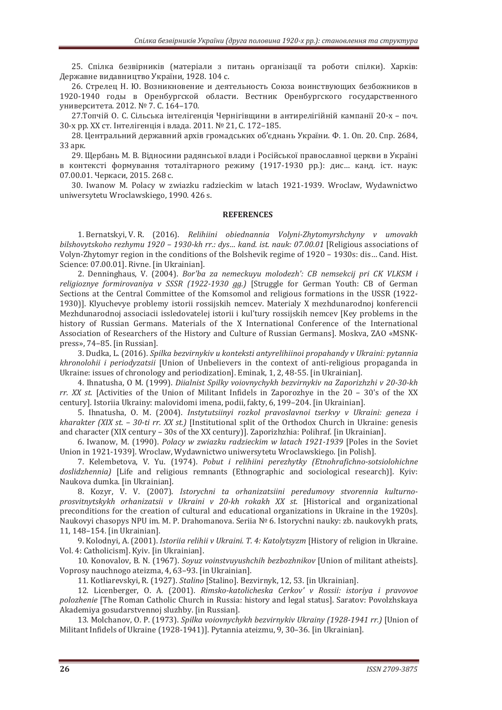25. Спілка безвірників (матеріали з питань організації та роботи спілки). Харків: Державне видавництво України, 1928. 104 с.

26. Стрелец Н. Ю. Возникновение и деятельность Союза воинствующих безбожников в 1920-1940 годы в Оренбургской области. Вестник Оренбургского государственного университета. 2012. № 7. С. 164-170.

27. Топчій О. С. Сільська інтелігенція Чернігівщини в антирелігійній кампанії 20-х – поч. 30-х рр. XX ст. Інтелігенція і влада. 2011. № 21. С. 172–185.

28. Центральний державний архів громадських об'єднань України. Ф. 1. Оп. 20. Спр. 2684, ЗЗ арк.

29. Щербань М. В. Відносини радянської влади і Російської православної церкви в Україні в контексті формування тоталітарного режиму (1917-1930 рр.): дис... канд. іст. наук: 07.00.01. Черкаси. 2015. 268 с.

30. Iwanow M. Polacy w zwiazku radzieckim w latach 1921-1939. Wroclaw, Wydawnictwo uniwersytetu Wroclawskiego, 1990. 426 s.

#### **REFERENCES**

1. Bernatskyi, V. R. (2016). *Relihiini obiednannia Volyni-Zhytomyrshchyny v umovakh bilshovytskoho rezhymu 1920 - 1930-kh rr.: dys... kand. ist. nauk: 07.00.01 [Religious associations of* Volyn-Zhytomyr region in the conditions of the Bolshevik regime of 1920 – 1930s: dis... Cand. Hist. Science: 07.00.01]. Rivne. [in Ukrainian].

2. Denninghaus, V. (2004). Bor'ba za nemeckuyu molodezh': CB nemsekcij pri CK VLKSM i *religioznye formirovaniya v SSSR (1922-1930 gg.)* [Struggle for German Youth: CB of German Sections at the Central Committee of the Komsomol and religious formations in the USSR (1922- 1930)]. Klyuchevye problemy istorii rossijskih nemcev. Materialy X mezhdunarodnoj konferencii Mezhdunarodnoj associacii issledovatelej istorii i kul'tury rossijskih nemcev [Key problems in the history of Russian Germans. Materials of the X International Conference of the International Association of Researchers of the History and Culture of Russian Germans]. Moskva, ZAO «MSNK press», 74–85. [in Russian].

3. Dudka, L. (2016). *Spilka bezvirnykiy u konteksti antyrelihiinoi propahandy v Ukraini: pytannia khronolohii i periodyzatsii* [Union of Unbelievers in the context of anti-religious propaganda in Ukraine: issues of chronology and periodization]. Eminak, 1, 2, 48-55. [in Ukrainian].

4. Ihnatusha, O M. (1999). *Diialnist Spilky voiovnychykh bezvirnykiv na Zaporizhzhi v 20-30-kh rr. XX st.* [Activities of the Union of Militant Infidels in Zaporozhye in the 20 – 30's of the XX century]. Istoriia Ukrainy: malovidomi imena, podii, fakty, 6, 199–204. [in Ukrainian].

5. Ihnatusha, O. M. (2004). *Instytutsiinyi rozkol pravoslavnoi tserkvy v Ukraini: geneza i kharakter (XIX st. - 30-ti rr. XX st.)* [Institutional split of the Orthodox Church in Ukraine: genesis and character (XIX century – 30s of the XX century)]. Zaporizhzhia: Polihraf. [in Ukrainian].

6. Iwanow, M. (1990). *Polacy w zwiazku radzieckim w latach 1921-1939* [Poles in the Soviet Union in 1921-1939]. Wroclaw, Wydawnictwo uniwersytetu Wroclawskiego. [in Polish].

7. Kelembetova, V. Yu. (1974). Pobut i relihiini perezhytky (Etnohrafichno-sotsiolohichne doslidzhennia) [Life and religious remnants (Ethnographic and sociological research)]. Kyiv: Naukova dumka. [in Ukrainian].

8. Kozyr, V. V. (2007). Istorychni ta orhanizatsiini peredumovy stvorennia kulturno*prosvitnytskykh orhanizatsii v Ukraini v 20-kh rokakh XX st.* [Historical and organizational preconditions for the creation of cultural and educational organizations in Ukraine in the 1920s]. Naukovyi chasopys NPU im. M. P. Drahomanova. Seriia № 6. Istorychni nauky: zb. naukovykh prats, 11, 148–154. [in Ukrainian].

9. Kolodnyi, A. (2001). *Istoriia relihii v Ukraini. T. 4: Katolytsyzm* [History of religion in Ukraine. l. 4: Catholicism]. Kyiv. [in Ukrainian].

10. Konovalov, B. N. (1967). Sovuz voinstvuvushchih bezbozhnikov [Union of militant atheists]. oprosy nauchnogo ateizma, 4, 63–93. [in Ukrainian].

11. Kotliarevskyi, R. (1927). Stalino [Stalino]. Bezvirnyk, 12, 53. [in Ukrainian].

12. Licenberger, O. A. (2001). *Rimsko-katolicheska Cerkov' v Rossii: istoriya i pravovoe*  [The Roman Catholic Church in Russia: history and legal status]. Saratov: Povolzhskaya Akademiya gosudarstvennoj sluzhby. [in Russian].

13. Molchanov, O. P. (1973). *Spilka voiovnychykh bezvirnykiv Ukrainy (1928-1941 rr.)* [Union of Militant Infidels of Ukraine (1928-1941)]. Pytannia ateizmu, 9, 30–36. [in Ukrainian].